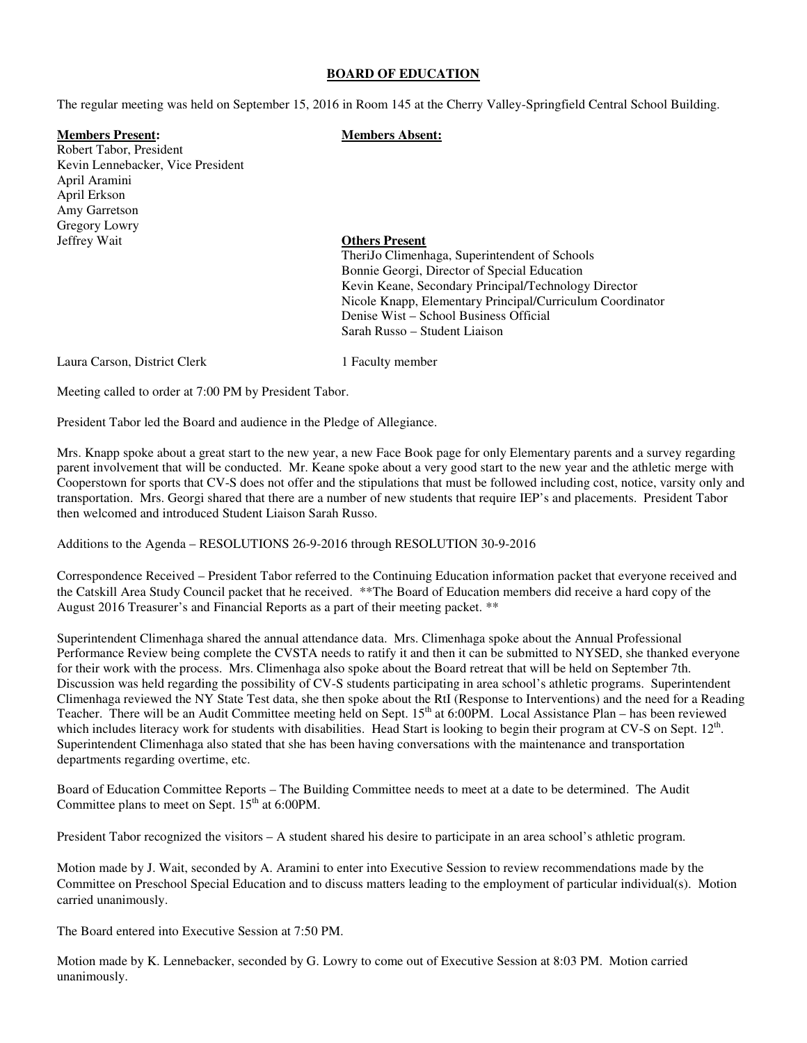#### **BOARD OF EDUCATION**

The regular meeting was held on September 15, 2016 in Room 145 at the Cherry Valley-Springfield Central School Building.

# **Members Present: Members Absent:**

Robert Tabor, President Kevin Lennebacker, Vice President April Aramini April Erkson Amy Garretson Gregory Lowry Jeffrey Wait **Others Present**

 TheriJo Climenhaga, Superintendent of Schools Bonnie Georgi, Director of Special Education Kevin Keane, Secondary Principal/Technology Director Nicole Knapp, Elementary Principal/Curriculum Coordinator Denise Wist – School Business Official Sarah Russo – Student Liaison

Laura Carson, District Clerk 1 Faculty member

Meeting called to order at 7:00 PM by President Tabor.

President Tabor led the Board and audience in the Pledge of Allegiance.

Mrs. Knapp spoke about a great start to the new year, a new Face Book page for only Elementary parents and a survey regarding parent involvement that will be conducted. Mr. Keane spoke about a very good start to the new year and the athletic merge with Cooperstown for sports that CV-S does not offer and the stipulations that must be followed including cost, notice, varsity only and transportation. Mrs. Georgi shared that there are a number of new students that require IEP's and placements. President Tabor then welcomed and introduced Student Liaison Sarah Russo.

Additions to the Agenda – RESOLUTIONS 26-9-2016 through RESOLUTION 30-9-2016

Correspondence Received – President Tabor referred to the Continuing Education information packet that everyone received and the Catskill Area Study Council packet that he received. \*\*The Board of Education members did receive a hard copy of the August 2016 Treasurer's and Financial Reports as a part of their meeting packet. \*\*

Superintendent Climenhaga shared the annual attendance data. Mrs. Climenhaga spoke about the Annual Professional Performance Review being complete the CVSTA needs to ratify it and then it can be submitted to NYSED, she thanked everyone for their work with the process. Mrs. Climenhaga also spoke about the Board retreat that will be held on September 7th. Discussion was held regarding the possibility of CV-S students participating in area school's athletic programs. Superintendent Climenhaga reviewed the NY State Test data, she then spoke about the RtI (Response to Interventions) and the need for a Reading Teacher. There will be an Audit Committee meeting held on Sept.  $15<sup>th</sup>$  at 6:00PM. Local Assistance Plan – has been reviewed which includes literacy work for students with disabilities. Head Start is looking to begin their program at CV-S on Sept.  $12<sup>th</sup>$ . Superintendent Climenhaga also stated that she has been having conversations with the maintenance and transportation departments regarding overtime, etc.

Board of Education Committee Reports – The Building Committee needs to meet at a date to be determined. The Audit Committee plans to meet on Sept.  $15<sup>th</sup>$  at 6:00PM.

President Tabor recognized the visitors – A student shared his desire to participate in an area school's athletic program.

Motion made by J. Wait, seconded by A. Aramini to enter into Executive Session to review recommendations made by the Committee on Preschool Special Education and to discuss matters leading to the employment of particular individual(s). Motion carried unanimously.

The Board entered into Executive Session at 7:50 PM.

Motion made by K. Lennebacker, seconded by G. Lowry to come out of Executive Session at 8:03 PM. Motion carried unanimously.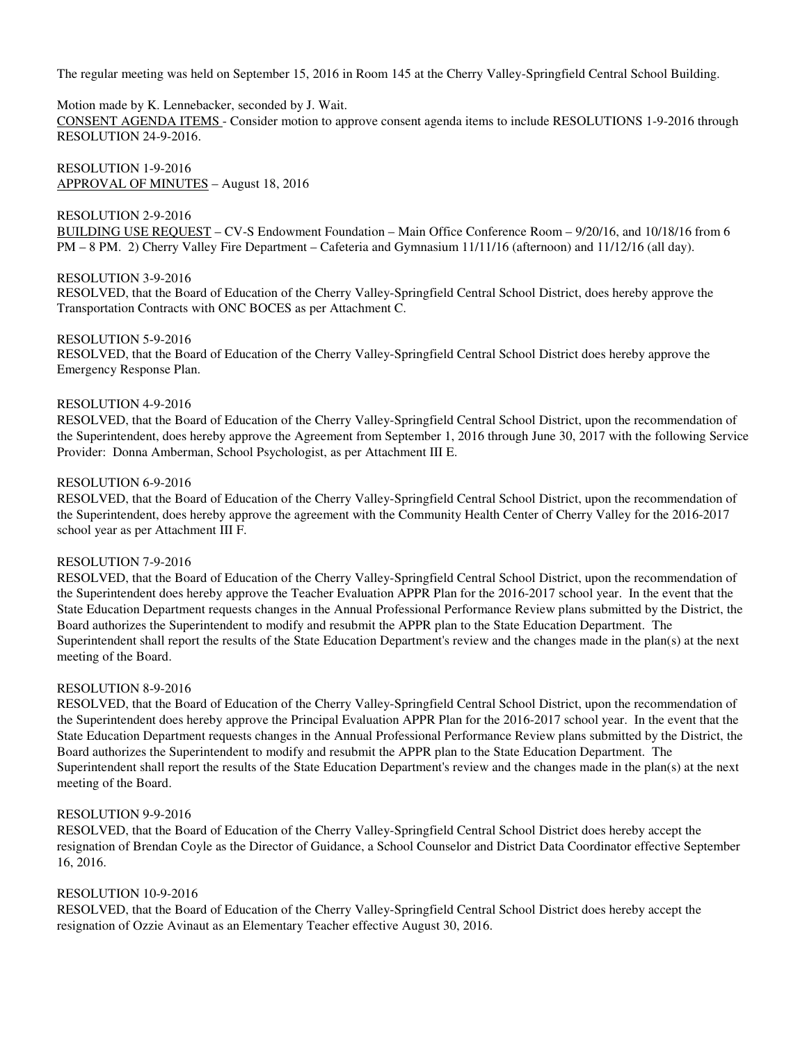# Motion made by K. Lennebacker, seconded by J. Wait.

CONSENT AGENDA ITEMS - Consider motion to approve consent agenda items to include RESOLUTIONS 1-9-2016 through RESOLUTION 24-9-2016.

RESOLUTION 1-9-2016 APPROVAL OF MINUTES – August 18, 2016

# RESOLUTION 2-9-2016

BUILDING USE REQUEST – CV-S Endowment Foundation – Main Office Conference Room – 9/20/16, and 10/18/16 from 6 PM – 8 PM. 2) Cherry Valley Fire Department – Cafeteria and Gymnasium 11/11/16 (afternoon) and 11/12/16 (all day).

#### RESOLUTION 3-9-2016

RESOLVED, that the Board of Education of the Cherry Valley-Springfield Central School District, does hereby approve the Transportation Contracts with ONC BOCES as per Attachment C.

## RESOLUTION 5-9-2016

RESOLVED, that the Board of Education of the Cherry Valley-Springfield Central School District does hereby approve the Emergency Response Plan.

## RESOLUTION 4-9-2016

RESOLVED, that the Board of Education of the Cherry Valley-Springfield Central School District, upon the recommendation of the Superintendent, does hereby approve the Agreement from September 1, 2016 through June 30, 2017 with the following Service Provider: Donna Amberman, School Psychologist, as per Attachment III E.

#### RESOLUTION 6-9-2016

RESOLVED, that the Board of Education of the Cherry Valley-Springfield Central School District, upon the recommendation of the Superintendent, does hereby approve the agreement with the Community Health Center of Cherry Valley for the 2016-2017 school year as per Attachment III F.

# RESOLUTION 7-9-2016

RESOLVED, that the Board of Education of the Cherry Valley-Springfield Central School District, upon the recommendation of the Superintendent does hereby approve the Teacher Evaluation APPR Plan for the 2016-2017 school year. In the event that the State Education Department requests changes in the Annual Professional Performance Review plans submitted by the District, the Board authorizes the Superintendent to modify and resubmit the APPR plan to the State Education Department. The Superintendent shall report the results of the State Education Department's review and the changes made in the plan(s) at the next meeting of the Board.

#### RESOLUTION 8-9-2016

RESOLVED, that the Board of Education of the Cherry Valley-Springfield Central School District, upon the recommendation of the Superintendent does hereby approve the Principal Evaluation APPR Plan for the 2016-2017 school year. In the event that the State Education Department requests changes in the Annual Professional Performance Review plans submitted by the District, the Board authorizes the Superintendent to modify and resubmit the APPR plan to the State Education Department. The Superintendent shall report the results of the State Education Department's review and the changes made in the plan(s) at the next meeting of the Board.

#### RESOLUTION 9-9-2016

RESOLVED, that the Board of Education of the Cherry Valley-Springfield Central School District does hereby accept the resignation of Brendan Coyle as the Director of Guidance, a School Counselor and District Data Coordinator effective September 16, 2016.

# RESOLUTION 10-9-2016

RESOLVED, that the Board of Education of the Cherry Valley-Springfield Central School District does hereby accept the resignation of Ozzie Avinaut as an Elementary Teacher effective August 30, 2016.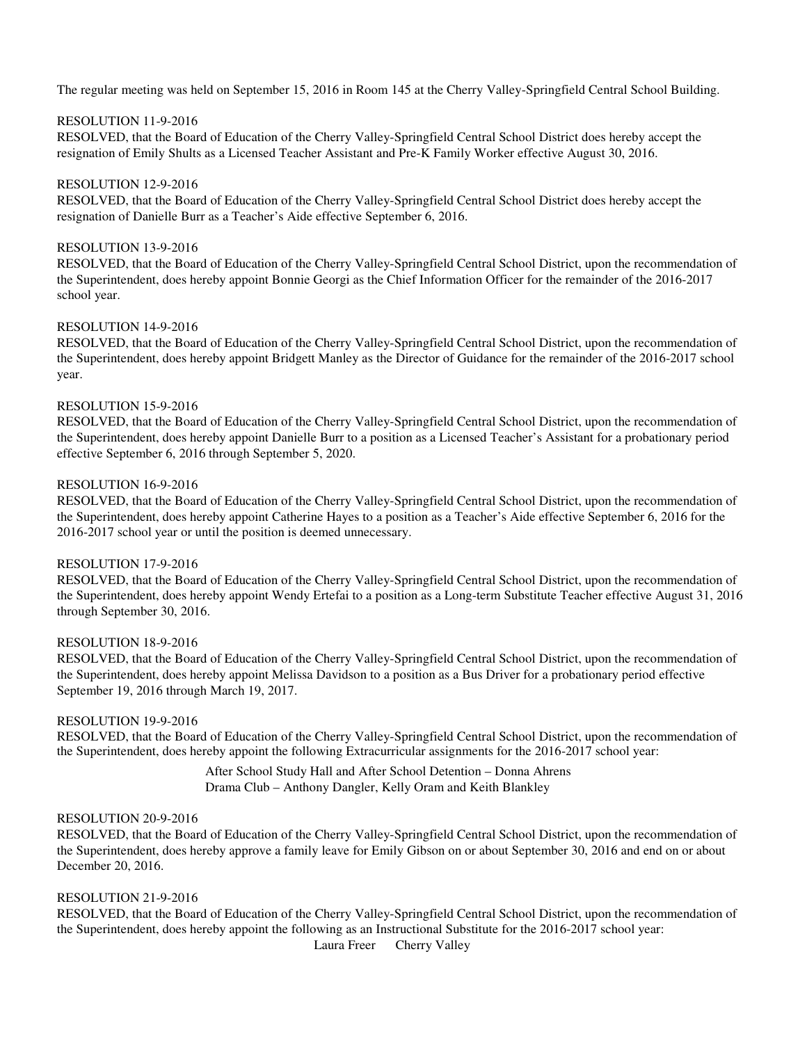## RESOLUTION 11-9-2016

RESOLVED, that the Board of Education of the Cherry Valley-Springfield Central School District does hereby accept the resignation of Emily Shults as a Licensed Teacher Assistant and Pre-K Family Worker effective August 30, 2016.

#### RESOLUTION 12-9-2016

RESOLVED, that the Board of Education of the Cherry Valley-Springfield Central School District does hereby accept the resignation of Danielle Burr as a Teacher's Aide effective September 6, 2016.

## RESOLUTION 13-9-2016

RESOLVED, that the Board of Education of the Cherry Valley-Springfield Central School District, upon the recommendation of the Superintendent, does hereby appoint Bonnie Georgi as the Chief Information Officer for the remainder of the 2016-2017 school year.

# RESOLUTION 14-9-2016

RESOLVED, that the Board of Education of the Cherry Valley-Springfield Central School District, upon the recommendation of the Superintendent, does hereby appoint Bridgett Manley as the Director of Guidance for the remainder of the 2016-2017 school year.

# RESOLUTION 15-9-2016

RESOLVED, that the Board of Education of the Cherry Valley-Springfield Central School District, upon the recommendation of the Superintendent, does hereby appoint Danielle Burr to a position as a Licensed Teacher's Assistant for a probationary period effective September 6, 2016 through September 5, 2020.

# RESOLUTION 16-9-2016

RESOLVED, that the Board of Education of the Cherry Valley-Springfield Central School District, upon the recommendation of the Superintendent, does hereby appoint Catherine Hayes to a position as a Teacher's Aide effective September 6, 2016 for the 2016-2017 school year or until the position is deemed unnecessary.

# RESOLUTION 17-9-2016

RESOLVED, that the Board of Education of the Cherry Valley-Springfield Central School District, upon the recommendation of the Superintendent, does hereby appoint Wendy Ertefai to a position as a Long-term Substitute Teacher effective August 31, 2016 through September 30, 2016.

#### RESOLUTION 18-9-2016

RESOLVED, that the Board of Education of the Cherry Valley-Springfield Central School District, upon the recommendation of the Superintendent, does hereby appoint Melissa Davidson to a position as a Bus Driver for a probationary period effective September 19, 2016 through March 19, 2017.

#### RESOLUTION 19-9-2016

RESOLVED, that the Board of Education of the Cherry Valley-Springfield Central School District, upon the recommendation of the Superintendent, does hereby appoint the following Extracurricular assignments for the 2016-2017 school year:

> After School Study Hall and After School Detention – Donna Ahrens Drama Club – Anthony Dangler, Kelly Oram and Keith Blankley

# RESOLUTION 20-9-2016

RESOLVED, that the Board of Education of the Cherry Valley-Springfield Central School District, upon the recommendation of the Superintendent, does hereby approve a family leave for Emily Gibson on or about September 30, 2016 and end on or about December 20, 2016.

## RESOLUTION 21-9-2016

RESOLVED, that the Board of Education of the Cherry Valley-Springfield Central School District, upon the recommendation of the Superintendent, does hereby appoint the following as an Instructional Substitute for the 2016-2017 school year: Laura Freer Cherry Valley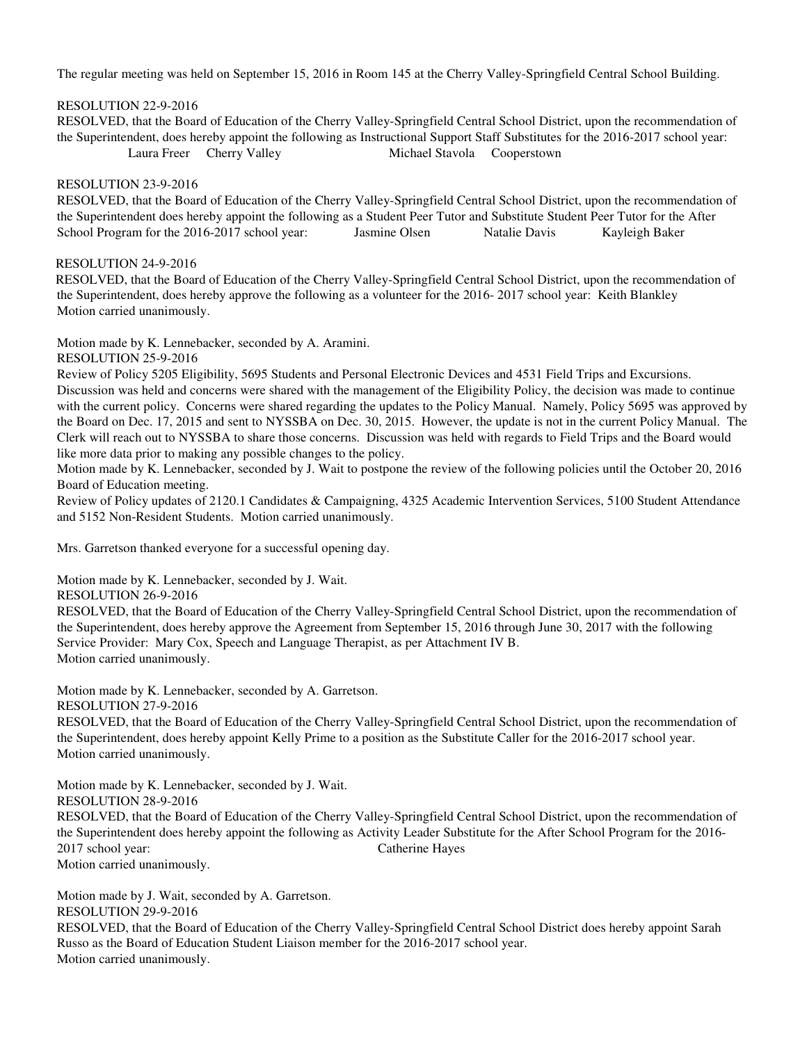# RESOLUTION 22-9-2016

 RESOLVED, that the Board of Education of the Cherry Valley-Springfield Central School District, upon the recommendation of the Superintendent, does hereby appoint the following as Instructional Support Staff Substitutes for the 2016-2017 school year: Laura Freer Cherry Valley Michael Stavola Cooperstown

# RESOLUTION 23-9-2016

RESOLVED, that the Board of Education of the Cherry Valley-Springfield Central School District, upon the recommendation of the Superintendent does hereby appoint the following as a Student Peer Tutor and Substitute Student Peer Tutor for the After School Program for the 2016-2017 school year: Jasmine Olsen Natalie Davis Kayleigh Baker

# RESOLUTION 24-9-2016

 RESOLVED, that the Board of Education of the Cherry Valley-Springfield Central School District, upon the recommendation of the Superintendent, does hereby approve the following as a volunteer for the 2016- 2017 school year: Keith Blankley Motion carried unanimously.

Motion made by K. Lennebacker, seconded by A. Aramini.

RESOLUTION 25-9-2016

Review of Policy 5205 Eligibility, 5695 Students and Personal Electronic Devices and 4531 Field Trips and Excursions. Discussion was held and concerns were shared with the management of the Eligibility Policy, the decision was made to continue with the current policy. Concerns were shared regarding the updates to the Policy Manual. Namely, Policy 5695 was approved by the Board on Dec. 17, 2015 and sent to NYSSBA on Dec. 30, 2015. However, the update is not in the current Policy Manual. The Clerk will reach out to NYSSBA to share those concerns. Discussion was held with regards to Field Trips and the Board would like more data prior to making any possible changes to the policy.

Motion made by K. Lennebacker, seconded by J. Wait to postpone the review of the following policies until the October 20, 2016 Board of Education meeting.

Review of Policy updates of 2120.1 Candidates & Campaigning, 4325 Academic Intervention Services, 5100 Student Attendance and 5152 Non-Resident Students. Motion carried unanimously.

Mrs. Garretson thanked everyone for a successful opening day.

Motion made by K. Lennebacker, seconded by J. Wait.

RESOLUTION 26-9-2016

RESOLVED, that the Board of Education of the Cherry Valley-Springfield Central School District, upon the recommendation of the Superintendent, does hereby approve the Agreement from September 15, 2016 through June 30, 2017 with the following Service Provider: Mary Cox, Speech and Language Therapist, as per Attachment IV B. Motion carried unanimously.

Motion made by K. Lennebacker, seconded by A. Garretson. RESOLUTION 27-9-2016

RESOLVED, that the Board of Education of the Cherry Valley-Springfield Central School District, upon the recommendation of the Superintendent, does hereby appoint Kelly Prime to a position as the Substitute Caller for the 2016-2017 school year. Motion carried unanimously.

Motion made by K. Lennebacker, seconded by J. Wait.

RESOLUTION 28-9-2016

RESOLVED, that the Board of Education of the Cherry Valley-Springfield Central School District, upon the recommendation of the Superintendent does hereby appoint the following as Activity Leader Substitute for the After School Program for the 2016- 2017 school year: Catherine Hayes

Motion carried unanimously.

Motion made by J. Wait, seconded by A. Garretson. RESOLUTION 29-9-2016

RESOLVED, that the Board of Education of the Cherry Valley-Springfield Central School District does hereby appoint Sarah Russo as the Board of Education Student Liaison member for the 2016-2017 school year. Motion carried unanimously.